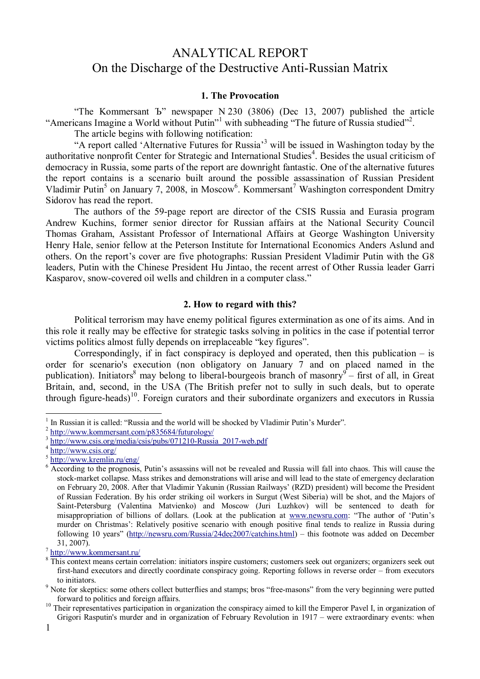# ANALYTICAL REPORT On the Discharge of the Destructive Anti-Russian Matrix

#### **1. The Provocation**

"The Kommersant Ъ" newspaper N 230 (3806) (Dec 13, 2007) published the article "Americans Imagine a World without Putin"<sup>1</sup> with subheading "The future of Russia studied"<sup>2</sup>.

The article begins with following notification:

"A report called 'Alternative Futures for Russia<sup>3</sup> will be issued in Washington today by the authoritative nonprofit Center for Strategic and International Studies<sup>4</sup>. Besides the usual criticism of democracy in Russia, some parts of the report are downright fantastic. One of the alternative futures the report contains is a scenario built around the possible assassination of Russian President Vladimir Putin<sup>5</sup> on January 7, 2008, in Moscow<sup>6</sup>. Kommersant<sup>7</sup> Washington correspondent Dmitry Sidorov has read the report.

The authors of the 59-page report are director of the CSIS Russia and Eurasia program Andrew Kuchins, former senior director for Russian affairs at the National Security Council Thomas Graham, Assistant Professor of International Affairs at George Washington University Henry Hale, senior fellow at the Peterson Institute for International Economics Anders Aslund and others. On the report's cover are five photographs: Russian President Vladimir Putin with the G8 leaders, Putin with the Chinese President Hu Jintao, the recent arrest of Other Russia leader Garri Kasparov, snow-covered oil wells and children in a computer class."

### **2. How to regard with this?**

Political terrorism may have enemy political figures extermination as one of its aims. And in this role it really may be effective for strategic tasks solving in politics in the case if potential terror victims politics almost fully depends on irreplaceable "key figures".

Correspondingly, if in fact conspiracy is deployed and operated, then this publication  $-$  is order for scenario's execution (non obligatory on January 7 and on placed named in the publication). Initiators<sup>8</sup> may belong to liberal-bourgeois branch of masonry<sup>9</sup> – first of all, in Great Britain, and, second, in the USA (The British prefer not to sully in such deals, but to operate through figure-heads)<sup>10</sup>. Foreign curators and their subordinate organizers and executors in Russia

7 <http://www.kommersant.ru/>

1

<sup>1</sup> In Russian it is called: "Russia and the world will be shocked by Vladimir Putin's Murder".

<sup>2</sup> <http://www.kommersant.com/p835684/futurology/>

<sup>3</sup> [http://www.csis.org/media/csis/pubs/071210-Russia\\_2017-web.pdf](http://www.csis.org/media/csis/pubs/071210-Russia_2017-web.pdf)

<sup>4</sup> <http://www.csis.org/>

<sup>5</sup> <http://www.kremlin.ru/eng/>

<sup>6</sup> According to the prognosis, Putin's assassins will not be revealed and Russia will fall into chaos. This will cause the stock-market collapse. Mass strikes and demonstrations will arise and will lead to the state of emergency declaration on February 20, 2008. After that Vladimir Yakunin (Russian Railways' (RZD) president) will become the President of Russian Federation. By his order striking oil workers in Surgut (West Siberia) will be shot, and the Majors of Saint-Petersburg (Valentina Matvienko) and Moscow (Juri Luzhkov) will be sentenced to death for misappropriation of billions of dollars. (Look at the publication at [www.newsru.com](http://www.newsru.com): "The author of 'Putin's murder on Christmas': Relatively positive scenario with enough positive final tends to realize in Russia during following 10 years" [\(http://newsru.com/Russia/24dec2007/catchins.html](http://newsru.com/Russia/24dec2007/catchins.html)) – this footnote was added on December 31, 2007).

<sup>8</sup> This context means certain correlation: initiators inspire customers; customers seek out organizers; organizers seek out first-hand executors and directly coordinate conspiracy going. Reporting follows in reverse order – from executors to initiators.

<sup>&</sup>lt;sup>9</sup> Note for skeptics: some others collect butterflies and stamps; bros "free-masons" from the very beginning were putted forward to politics and foreign affairs.

<sup>&</sup>lt;sup>10</sup> Their representatives participation in organization the conspiracy aimed to kill the Emperor Pavel I, in organization of Grigori Rasputin's murder and in organization of February Revolution in 1917 – were extraordinary events: when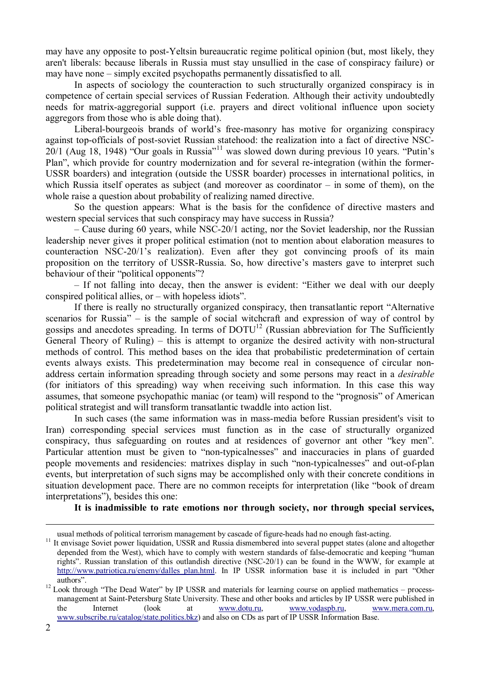may have any opposite to post-Yeltsin bureaucratic regime political opinion (but, most likely, they aren't liberals: because liberals in Russia must stay unsullied in the case of conspiracy failure) or may have none – simply excited psychopaths permanently dissatisfied to all.

In aspects of sociology the counteraction to such structurally organized conspiracy is in competence of certain special services of Russian Federation. Although their activity undoubtedly needs for matrix-aggregorial support (i.e. prayers and direct volitional influence upon society aggregors from those who is able doing that).

Liberal-bourgeois brands of world's free-masonry has motive for organizing conspiracy against top-officials of post-soviet Russian statehood: the realization into a fact of directive NSC-20/1 (Aug 18, 1948) "Our goals in Russia"<sup>11</sup> was slowed down during previous 10 years. "Putin's Plan", which provide for country modernization and for several re-integration (within the former-USSR boarders) and integration (outside the USSR boarder) processes in international politics, in which Russia itself operates as subject (and moreover as coordinator – in some of them), on the whole raise a question about probability of realizing named directive.

So the question appears: What is the basis for the confidence of directive masters and western special services that such conspiracy may have success in Russia?

– Cause during 60 years, while NSC-20/1 acting, nor the Soviet leadership, nor the Russian leadership never gives it proper political estimation (not to mention about elaboration measures to counteraction NSC-20/1's realization). Even after they got convincing proofs of its main proposition on the territory of USSR-Russia. So, how directive's masters gave to interpret such behaviour of their "political opponents"?

– If not falling into decay, then the answer is evident: "Either we deal with our deeply conspired political allies, or – with hopeless idiots".

If there is really no structurally organized conspiracy, then transatlantic report "Alternative scenarios for Russia" – is the sample of social witchcraft and expression of way of control by gossips and anecdotes spreading. In terms of  $DOTU<sup>12</sup>$  (Russian abbreviation for The Sufficiently General Theory of Ruling) – this is attempt to organize the desired activity with non-structural methods of control. This method bases on the idea that probabilistic predetermination of certain events always exists. This predetermination may become real in consequence of circular nonaddress certain information spreading through society and some persons may react in a *desirable* (for initiators of this spreading) way when receiving such information. In this case this way assumes, that someone psychopathic maniac (or team) will respond to the "prognosis" of American political strategist and will transform transatlantic twaddle into action list.

In such cases (the same information was in mass-media before Russian president's visit to Iran) corresponding special services must function as in the case of structurally organized conspiracy, thus safeguarding on routes and at residences of governor ant other "key men". Particular attention must be given to "non-typicalnesses" and inaccuracies in plans of guarded people movements and residencies: matrixes display in such "non-typicalnesses" and out-of-plan events, but interpretation of such signs may be accomplished only with their concrete conditions in situation development pace. There are no common receipts for interpretation (like "book of dream interpretations"), besides this one:

**It is inadmissible to rate emotions nor through society, nor through special services,** 

usual methods of political terrorism management by cascade of figure-heads had no enough fast-acting.

<sup>&</sup>lt;sup>11</sup> It envisage Soviet power liquidation, USSR and Russia dismembered into several puppet states (alone and altogether depended from the West), which have to comply with western standards of false-democratic and keeping "human rights". Russian translation of this outlandish directive (NSC-20/1) can be found in the WWW, for example at [http://www.patriotica.ru/enemy/dalles\\_plan.html](http://www.patriotica.ru/enemy/dalles_plan.html). In IP USSR information base it is included in part "Other authors".

<sup>&</sup>lt;sup>12</sup> Look through "The Dead Water" by IP USSR and materials for learning course on applied mathematics – processmanagement at Saint-Petersburg State University. These and other books and articles by IP USSR were published in the Internet (look at [www.dotu.ru,](http://www.dotu.ru) [www.vodaspb.ru,](http://www.vodaspb.ru) [www.mera.com.ru,](http://www.mera.com.ru) [www.subscribe.ru/catalog/state.politics.bkz](http://www.subscribe.ru/catalog/state.politics.bkz)) and also on CDs as part of IP USSR Information Base.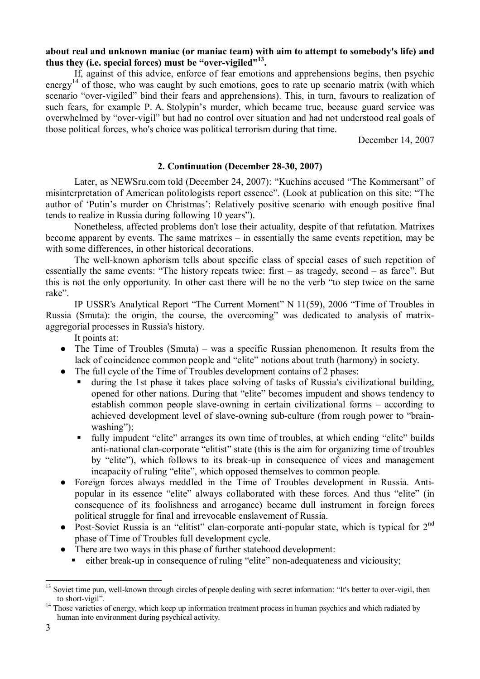## **about real and unknown maniac (or maniac team) with aim to attempt to somebody's life) and thus they (i.e. special forces) must be "over-vigiled"<sup>13</sup> .**

If, against of this advice, enforce of fear emotions and apprehensions begins, then psychic energy<sup>14</sup> of those, who was caught by such emotions, goes to rate up scenario matrix (with which scenario "over-vigiled" bind their fears and apprehensions). This, in turn, favours to realization of such fears, for example P. A. Stolypin's murder, which became true, because guard service was overwhelmed by "over-vigil" but had no control over situation and had not understood real goals of those political forces, who's choice was political terrorism during that time.

December 14, 2007

## **2. Continuation (December 28-30, 2007)**

Later, as NEWSru.com told (December 24, 2007): "Kuchins accused "The Kommersant" of misinterpretation of American politologists report essence". (Look at publication on this site: "The author of 'Putin's murder on Christmas': Relatively positive scenario with enough positive final tends to realize in Russia during following 10 years").

Nonetheless, affected problems don't lose their actuality, despite of that refutation. Matrixes become apparent by events. The same matrixes – in essentially the same events repetition, may be with some differences, in other historical decorations.

The well-known aphorism tells about specific class of special cases of such repetition of essentially the same events: "The history repeats twice: first – as tragedy, second – as farce". But this is not the only opportunity. In other cast there will be no the verb "to step twice on the same rake".

IP USSR's Analytical Report "The Current Moment" N 11(59), 2006 "Time of Troubles in Russia (Smuta): the origin, the course, the overcoming" was dedicated to analysis of matrixaggregorial processes in Russia's history.

It points at:

- $\bullet$  The Time of Troubles (Smuta) was a specific Russian phenomenon. It results from the lack of coincidence common people and "elite" notions about truth (harmony) in society.
- The full cycle of the Time of Troubles development contains of 2 phases:
	- ß during the 1st phase it takes place solving of tasks of Russia's civilizational building, opened for other nations. During that "elite" becomes impudent and shows tendency to establish common people slave-owning in certain civilizational forms – according to achieved development level of slave-owning sub-culture (from rough power to "brainwashing"):
	- ß fully impudent "elite" arranges its own time of troubles, at which ending "elite" builds anti-national clan-corporate "elitist" state (this is the aim for organizing time of troubles by "elite"), which follows to its break-up in consequence of vices and management incapacity of ruling "elite", which opposed themselves to common people.
- Foreign forces always meddled in the Time of Troubles development in Russia. Antipopular in its essence "elite" always collaborated with these forces. And thus "elite" (in consequence of its foolishness and arrogance) became dull instrument in foreign forces political struggle for final and irrevocable enslavement of Russia.
- Post-Soviet Russia is an "elitist" clan-corporate anti-popular state, which is typical for 2<sup>nd</sup> phase of Time of Troubles full development cycle.
- There are two ways in this phase of further statehood development:
- ß either break-up in consequence of ruling "elite" non-adequateness and viciousity;

<sup>&</sup>lt;sup>13</sup> Soviet time pun, well-known through circles of people dealing with secret information: "It's better to over-vigil, then to short-vigil".

<sup>&</sup>lt;sup>14</sup> Those varieties of energy, which keep up information treatment process in human psychics and which radiated by human into environment during psychical activity.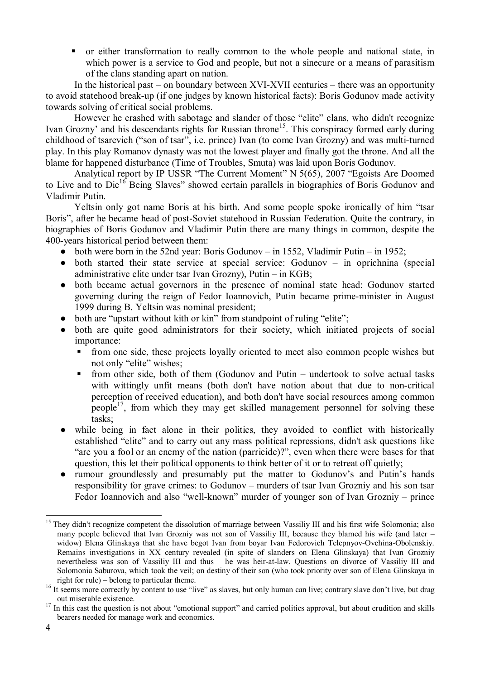• or either transformation to really common to the whole people and national state, in which power is a service to God and people, but not a sinecure or a means of parasitism of the clans standing apart on nation.

In the historical past – on boundary between XVI-XVII centuries – there was an opportunity to avoid statehood break-up (if one judges by known historical facts): Boris Godunov made activity towards solving of critical social problems.

However he crashed with sabotage and slander of those "elite" clans, who didn't recognize Ivan Grozny' and his descendants rights for Russian throne<sup>15</sup>. This conspiracy formed early during childhood of tsarevich ("son of tsar", i.e. prince) Ivan (to come Ivan Grozny) and was multi-turned play. In this play Romanov dynasty was not the lowest player and finally got the throne. And all the blame for happened disturbance (Time of Troubles, Smuta) was laid upon Boris Godunov.

Analytical report by IP USSR "The Current Moment" N 5(65), 2007 "Egoists Are Doomed to Live and to Die<sup>16</sup> Being Slaves" showed certain parallels in biographies of Boris Godunov and Vladimir Putin.

Yeltsin only got name Boris at his birth. And some people spoke ironically of him "tsar Boris", after he became head of post-Soviet statehood in Russian Federation. Quite the contrary, in biographies of Boris Godunov and Vladimir Putin there are many things in common, despite the 400-years historical period between them:

- $\bullet$  both were born in the 52nd year: Boris Godunov in 1552, Vladimir Putin in 1952;
- both started their state service at special service: Godunov in oprichnina (special administrative elite under tsar Ivan Grozny), Putin – in KGB;
- both became actual governors in the presence of nominal state head: Godunov started governing during the reign of Fedor Ioannovich, Putin became prime-minister in August 1999 during B. Yeltsin was nominal president;
- both are "upstart without kith or kin" from standpoint of ruling "elite";
- both are quite good administrators for their society, which initiated projects of social importance:
	- ß from one side, these projects loyally oriented to meet also common people wishes but not only "elite" wishes;
	- ß from other side, both of them (Godunov and Putin undertook to solve actual tasks with wittingly unfit means (both don't have notion about that due to non-critical perception of received education), and both don't have social resources among common people<sup>17</sup>, from which they may get skilled management personnel for solving these tasks;
- while being in fact alone in their politics, they avoided to conflict with historically established "elite" and to carry out any mass political repressions, didn't ask questions like "are you a fool or an enemy of the nation (parricide)?", even when there were bases for that question, this let their political opponents to think better of it or to retreat off quietly;
- rumour groundlessly and presumably put the matter to Godunov's and Putin's hands responsibility for grave crimes: to Godunov – murders of tsar Ivan Grozniy and his son tsar Fedor Ioannovich and also "well-known" murder of younger son of Ivan Grozniy – prince

 $\overline{a}$  $15$  They didn't recognize competent the dissolution of marriage between Vassiliy III and his first wife Solomonia; also many people believed that Ivan Grozniy was not son of Vassiliy III, because they blamed his wife (and later – widow) Elena Glinskaya that she have begot Ivan from boyar Ivan Fedorovich Telepnyov-Ovchina-Obolenskiy. Remains investigations in XX century revealed (in spite of slanders on Elena Glinskaya) that Ivan Grozniy nevertheless was son of Vassiliy III and thus – he was heir-at-law. Questions on divorce of Vassiliy III and Solomonia Saburova, which took the veil; on destiny of their son (who took priority over son of Elena Glinskaya in right for rule) – belong to particular theme.

<sup>&</sup>lt;sup>16</sup> It seems more correctly by content to use "live" as slaves, but only human can live; contrary slave don't live, but drag out miserable existence.

<sup>&</sup>lt;sup>17</sup> In this cast the question is not about "emotional support" and carried politics approval, but about erudition and skills bearers needed for manage work and economics.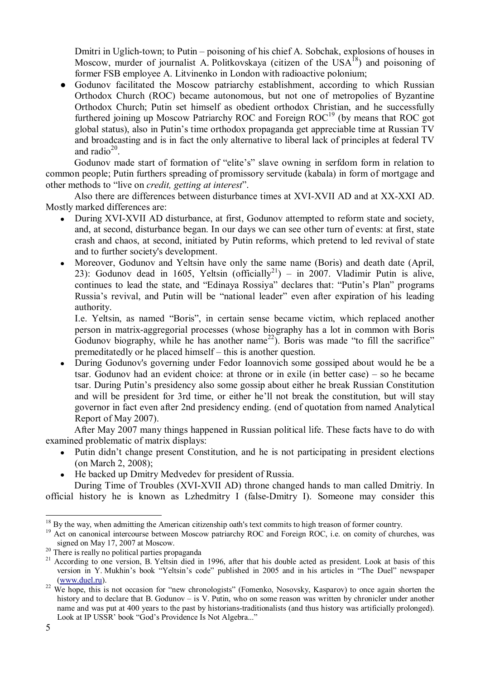Dmitri in Uglich-town; to Putin – poisoning of his chief A. Sobchak, explosions of houses in Moscow, murder of journalist A. Politkovskaya (citizen of the  $USA^{18}$ ) and poisoning of former FSB employee A. Litvinenko in London with radioactive polonium;

• Godunov facilitated the Moscow patriarchy establishment, according to which Russian Orthodox Church (ROC) became autonomous, but not one of metropolies of Byzantine Orthodox Church; Putin set himself as obedient orthodox Christian, and he successfully furthered joining up Moscow Patriarchy ROC and Foreign  $ROC<sup>19</sup>$  (by means that ROC got global status), also in Putin's time orthodox propaganda get appreciable time at Russian TV and broadcasting and is in fact the only alternative to liberal lack of principles at federal TV and radio $^{20}$ .

Godunov made start of formation of "elite's" slave owning in serfdom form in relation to common people; Putin furthers spreading of promissory servitude (kabala) in form of mortgage and other methods to "live on *credit, getting at interest*".

Also there are differences between disturbance times at XVI-XVII AD and at XX-XXI AD. Mostly marked differences are:

- During XVI-XVII AD disturbance, at first, Godunov attempted to reform state and society, and, at second, disturbance began. In our days we can see other turn of events: at first, state crash and chaos, at second, initiated by Putin reforms, which pretend to led revival of state and to further society's development.
- Moreover, Godunov and Yeltsin have only the same name (Boris) and death date (April, 23): Godunov dead in 1605, Yeltsin (officially<sup>21</sup>) – in 2007. Vladimir Putin is alive, continues to lead the state, and "Edinaya Rossiya" declares that: "Putin's Plan" programs Russia's revival, and Putin will be "national leader" even after expiration of his leading authority.

I.e. Yeltsin, as named "Boris", in certain sense became victim, which replaced another person in matrix-aggregorial processes (whose biography has a lot in common with Boris Godunov biography, while he has another name<sup>22</sup>). Boris was made "to fill the sacrifice" premeditatedly or he placed himself – this is another question.

• During Godunov's governing under Fedor Ioannovich some gossiped about would he be a tsar. Godunov had an evident choice: at throne or in exile (in better case) – so he became tsar. During Putin's presidency also some gossip about either he break Russian Constitution and will be president for 3rd time, or either he'll not break the constitution, but will stay governor in fact even after 2nd presidency ending. (end of quotation from named Analytical Report of May 2007).

After May 2007 many things happened in Russian political life. These facts have to do with examined problematic of matrix displays:

- Putin didn't change present Constitution, and he is not participating in president elections (on March 2, 2008);
- He backed up Dmitry Medvedev for president of Russia.

During Time of Troubles (XVI-XVII AD) throne changed hands to man called Dmitriy. In official history he is known as Lzhedmitry I (false-Dmitry I). Someone may consider this

<sup>&</sup>lt;sup>18</sup> By the way, when admitting the American citizenship oath's text commits to high treason of former country.

<sup>&</sup>lt;sup>19</sup> Act on canonical intercourse between Moscow patriarchy ROC and Foreign ROC, i.e. on comity of churches, was signed on May 17, 2007 at Moscow.

<sup>&</sup>lt;sup>20</sup> There is really no political parties propaganda

<sup>&</sup>lt;sup>21</sup> According to one version, B. Yeltsin died in 1996, after that his double acted as president. Look at basis of this version in Y. Mukhin's book "Yeltsin's code" published in 2005 and in his articles in "The Duel" newspaper [\(www.duel.ru](http://www.duel.ru)).

<sup>&</sup>lt;sup>22</sup> We hope, this is not occasion for "new chronologists" (Fomenko, Nosovsky, Kasparov) to once again shorten the history and to declare that B. Godunov – is V. Putin, who on some reason was written by chronicler under another name and was put at 400 years to the past by historians-traditionalists (and thus history was artificially prolonged). Look at IP USSR' book "God's Providence Is Not Algebra..."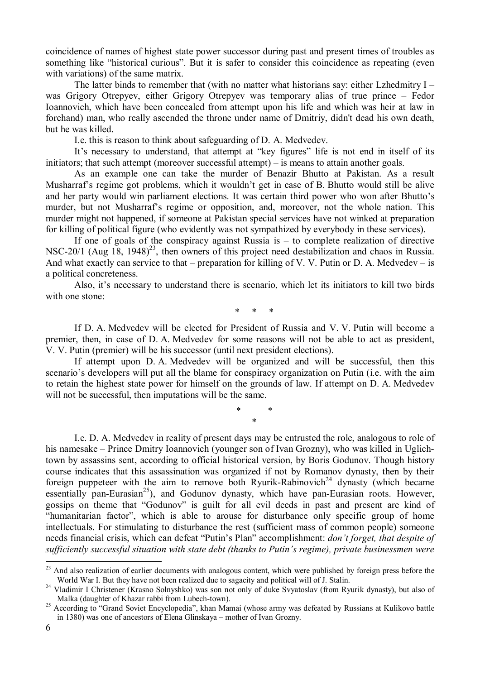coincidence of names of highest state power successor during past and present times of troubles as something like "historical curious". But it is safer to consider this coincidence as repeating (even with variations) of the same matrix.

The latter binds to remember that (with no matter what historians say: either Lzhedmitry I – was Grigory Otrepyev, either Grigory Otrepyev was temporary alias of true prince – Fedor Ioannovich, which have been concealed from attempt upon his life and which was heir at law in forehand) man, who really ascended the throne under name of Dmitriy, didn't dead his own death, but he was killed.

I.e. this is reason to think about safeguarding of D. A. Medvedev.

It's necessary to understand, that attempt at "key figures" life is not end in itself of its initiators; that such attempt (moreover successful attempt) – is means to attain another goals.

As an example one can take the murder of Benazir Bhutto at Pakistan. As a result Musharraf's regime got problems, which it wouldn't get in case of B. Bhutto would still be alive and her party would win parliament elections. It was certain third power who won after Bhutto's murder, but not Musharraf's regime or opposition, and, moreover, not the whole nation. This murder might not happened, if someone at Pakistan special services have not winked at preparation for killing of political figure (who evidently was not sympathized by everybody in these services).

If one of goals of the conspiracy against Russia is  $-$  to complete realization of directive NSC-20/1 (Aug  $18$ , 1948)<sup>23</sup>, then owners of this project need destabilization and chaos in Russia. And what exactly can service to that – preparation for killing of V. V. Putin or D. A. Medvedev – is a political concreteness.

Also, it's necessary to understand there is scenario, which let its initiators to kill two birds with one stone:

\* \* \*

If D. A. Medvedev will be elected for President of Russia and V. V. Putin will become a premier, then, in case of D. A. Medvedev for some reasons will not be able to act as president, V. V. Putin (premier) will be his successor (until next president elections).

If attempt upon D. A. Medvedev will be organized and will be successful, then this scenario's developers will put all the blame for conspiracy organization on Putin (i.e. with the aim to retain the highest state power for himself on the grounds of law. If attempt on D. A. Medvedev will not be successful, then imputations will be the same.

> \* \* \*

I.e. D. A. Medvedev in reality of present days may be entrusted the role, analogous to role of his namesake – Prince Dmitry Ioannovich (younger son of Ivan Grozny), who was killed in Uglichtown by assassins sent, according to official historical version, by Boris Godunov. Though history course indicates that this assassination was organized if not by Romanov dynasty, then by their foreign puppeteer with the aim to remove both Ryurik-Rabinovich<sup>24</sup> dynasty (which became essentially pan-Eurasian<sup>25</sup>), and Godunov dynasty, which have pan-Eurasian roots. However, gossips on theme that "Godunov" is guilt for all evil deeds in past and present are kind of "humanitarian factor", which is able to arouse for disturbance only specific group of home intellectuals. For stimulating to disturbance the rest (sufficient mass of common people) someone needs financial crisis, which can defeat "Putin's Plan" accomplishment: *don't forget, that despite of sufficiently successful situation with state debt (thanks to Putin's regime), private businessmen were* 

<sup>&</sup>lt;sup>23</sup> And also realization of earlier documents with analogous content, which were published by foreign press before the World War I. But they have not been realized due to sagacity and political will of J. Stalin.

<sup>&</sup>lt;sup>24</sup> Vladimir I Christener (Krasno Solnyshko) was son not only of duke Svyatoslav (from Ryurik dynasty), but also of Malka (daughter of Khazar rabbi from Lubech-town).

<sup>&</sup>lt;sup>25</sup> According to "Grand Soviet Encyclopedia", khan Mamai (whose army was defeated by Russians at Kulikovo battle in 1380) was one of ancestors of Elena Glinskaya – mother of Ivan Grozny.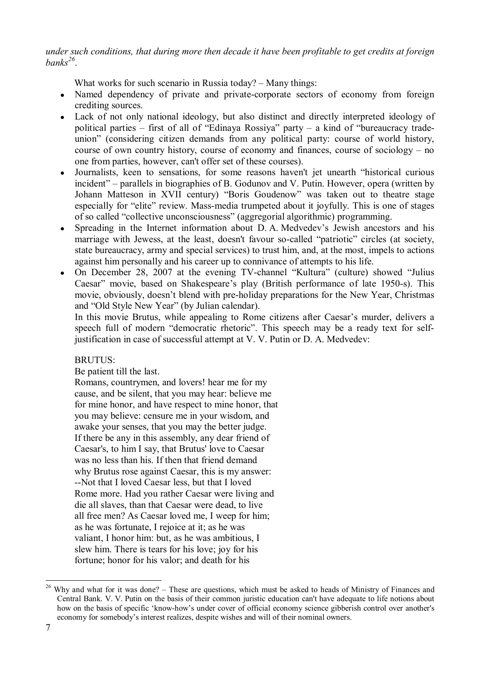*under such conditions, that during more then decade it have been profitable to get credits at foreign banks<sup>26</sup>* .

What works for such scenario in Russia today? – Many things:

- Named dependency of private and private-corporate sectors of economy from foreign crediting sources.
- Lack of not only national ideology, but also distinct and directly interpreted ideology of political parties – first of all of "Edinaya Rossiya" party – a kind of "bureaucracy tradeunion" (considering citizen demands from any political party: course of world history, course of own country history, course of economy and finances, course of sociology – no one from parties, however, can't offer set of these courses).
- Journalists, keen to sensations, for some reasons haven't jet unearth "historical curious incident" – parallels in biographies of B. Godunov and V. Putin. However, opera (written by Johann Matteson in XVII century) "Boris Goudenow" was taken out to theatre stage especially for "elite" review. Mass-media trumpeted about it joyfully. This is one of stages of so called "collective unconsciousness" (aggregorial algorithmic) programming.
- Spreading in the Internet information about D. A. Medvedev's Jewish ancestors and his marriage with Jewess, at the least, doesn't favour so-called "patriotic" circles (at society, state bureaucracy, army and special services) to trust him, and, at the most, impels to actions against him personally and his career up to connivance of attempts to his life.
- On December 28, 2007 at the evening TV-channel "Kultura" (culture) showed "Julius Caesar" movie, based on Shakespeare's play (British performance of late 1950-s). This movie, obviously, doesn't blend with pre-holiday preparations for the New Year, Christmas and "Old Style New Year" (by Julian calendar).

In this movie Brutus, while appealing to Rome citizens after Caesar's murder, delivers a speech full of modern "democratic rhetoric". This speech may be a ready text for selfjustification in case of successful attempt at V. V. Putin or D. A. Medvedev:

BRUTUS:

Be patient till the last.

Romans, countrymen, and lovers! hear me for my cause, and be silent, that you may hear: believe me for mine honor, and have respect to mine honor, that you may believe: censure me in your wisdom, and awake your senses, that you may the better judge. If there be any in this assembly, any dear friend of Caesar's, to him I say, that Brutus' love to Caesar was no less than his. If then that friend demand why Brutus rose against Caesar, this is my answer: --Not that I loved Caesar less, but that I loved Rome more. Had you rather Caesar were living and die all slaves, than that Caesar were dead, to live all free men? As Caesar loved me, I weep for him; as he was fortunate, I rejoice at it; as he was valiant, I honor him: but, as he was ambitious, I slew him. There is tears for his love; joy for his fortune; honor for his valor; and death for his

 $26$  Why and what for it was done? – These are questions, which must be asked to heads of Ministry of Finances and Central Bank. V. V. Putin on the basis of their common juristic education can't have adequate to life notions about how on the basis of specific 'know-how's under cover of official economy science gibberish control over another's economy for somebody's interest realizes, despite wishes and will of their nominal owners.